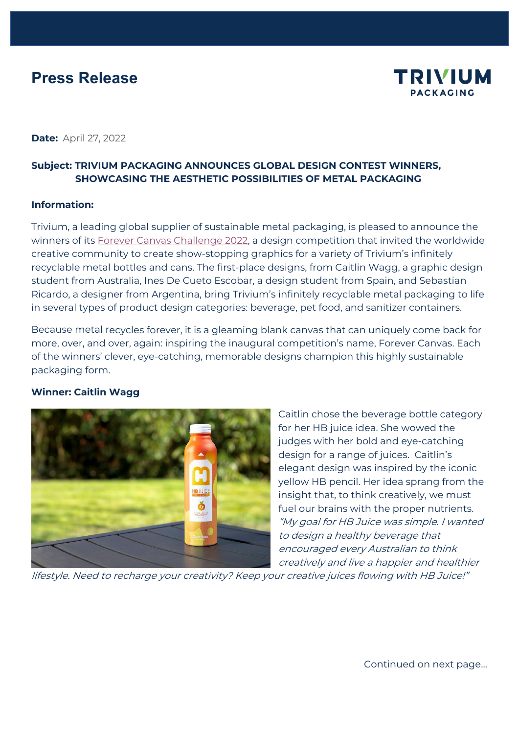# **Press Release**



**Date:** April 27, 2022

## **Subject: TRIVIUM PACKAGING ANNOUNCES GLOBAL DESIGN CONTEST WINNERS, SHOWCASING THE AESTHETIC POSSIBILITIES OF METAL PACKAGING**

#### **Information:**

Trivium, a leading global supplier of sustainable metal packaging, is pleased to announce the winners of its [Forever Canvas Challenge 2022,](https://triviumpackaging.com/campaigns/trivium-forever-canvas/) a design competition that invited the worldwide creative community to create show-stopping graphics for a variety of Trivium's infinitely recyclable metal bottles and cans. The first-place designs, from Caitlin Wagg, a graphic design student from Australia, Ines De Cueto Escobar, a design student from Spain, and Sebastian Ricardo, a designer from Argentina, bring Trivium's infinitely recyclable metal packaging to life in several types of product design categories: beverage, pet food, and sanitizer containers.

Because metal recycles forever, it is a gleaming blank canvas that can uniquely come back for more, over, and over, again: inspiring the inaugural competition's name, Forever Canvas. Each of the winners' clever, eye-catching, memorable designs champion this highly sustainable packaging form.

#### **Winner: Caitlin Wagg**



Caitlin chose the beverage bottle category for her HB juice idea. She wowed the judges with her bold and eye-catching design for a range of juices. Caitlin's elegant design was inspired by the iconic yellow HB pencil. Her idea sprang from the insight that, to think creatively, we must fuel our brains with the proper nutrients. "My goal for HB Juice was simple. I wanted to design a healthy beverage that encouraged every Australian to think creatively and live a happier and healthier

lifestyle. Need to recharge your creativity? Keep your creative juices flowing with HB Juice!"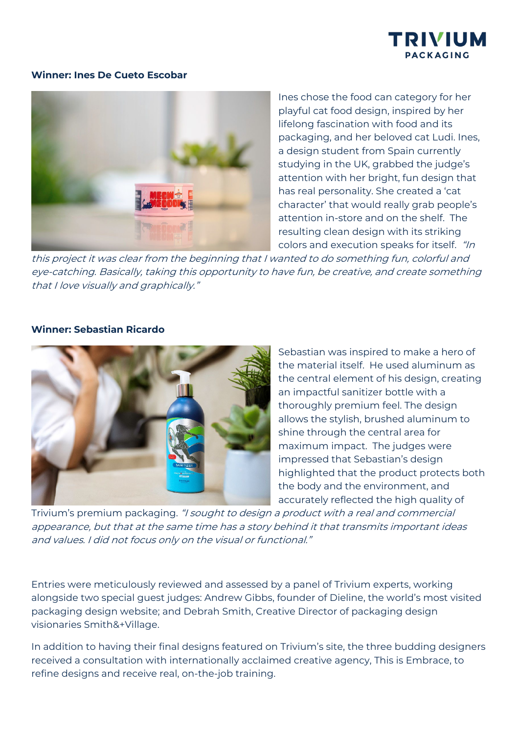

#### **Winner: Ines De Cueto Escobar**



Ines chose the food can category for her playful cat food design, inspired by her lifelong fascination with food and its packaging, and her beloved cat Ludi. Ines, a design student from Spain currently studying in the UK, grabbed the judge's attention with her bright, fun design that has real personality. She created a 'cat character' that would really grab people's attention in-store and on the shelf. The resulting clean design with its striking colors and execution speaks for itself. "In

this project it was clear from the beginning that I wanted to do something fun, colorful and eye-catching. Basically, taking this opportunity to have fun, be creative, and create something that I love visually and graphically."

#### **Winner: Sebastian Ricardo**



Sebastian was inspired to make a hero of the material itself. He used aluminum as the central element of his design, creating an impactful sanitizer bottle with a thoroughly premium feel. The design allows the stylish, brushed aluminum to shine through the central area for maximum impact. The judges were impressed that Sebastian's design highlighted that the product protects both the body and the environment, and accurately reflected the high quality of

Trivium's premium packaging. "I sought to design a product with a real and commercial appearance, but that at the same time has a story behind it that transmits important ideas and values. I did not focus only on the visual or functional."

Entries were meticulously reviewed and assessed by a panel of Trivium experts, working alongside two special guest judges: Andrew Gibbs, founder of Dieline, the world's most visited packaging design website; and Debrah Smith, Creative Director of packaging design visionaries Smith&+Village.

In addition to having their final designs featured on Trivium's site, the three budding designers received a consultation with internationally acclaimed creative agency, This is Embrace, to refine designs and receive real, on-the-job training.